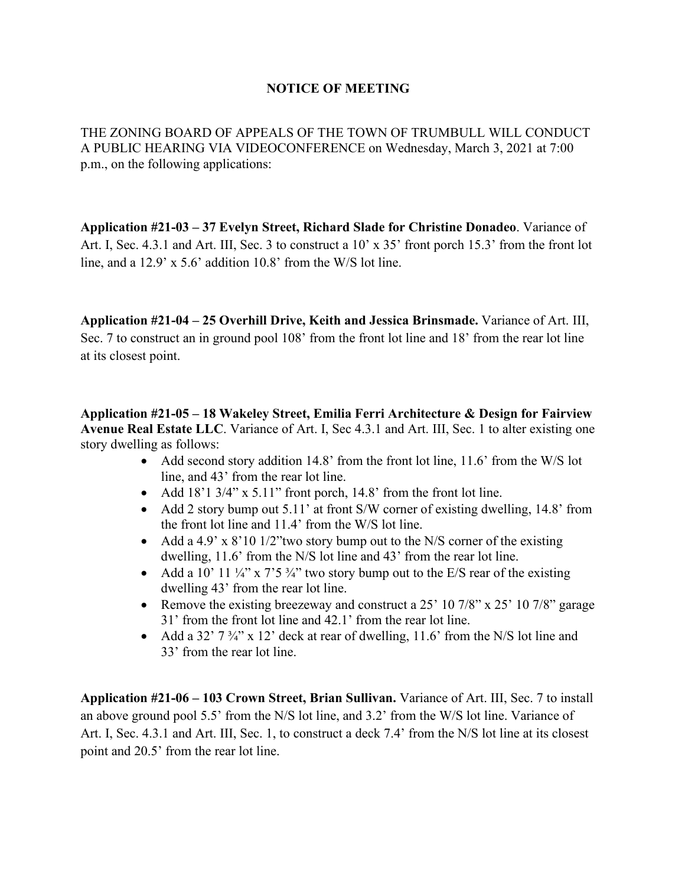## **NOTICE OF MEETING**

THE ZONING BOARD OF APPEALS OF THE TOWN OF TRUMBULL WILL CONDUCT A PUBLIC HEARING VIA VIDEOCONFERENCE on Wednesday, March 3, 2021 at 7:00 p.m., on the following applications:

**Application #21-03 – 37 Evelyn Street, Richard Slade for Christine Donadeo**. Variance of Art. I, Sec. 4.3.1 and Art. III, Sec. 3 to construct a 10' x 35' front porch 15.3' from the front lot line, and a 12.9' x 5.6' addition 10.8' from the W/S lot line.

**Application #21-04 – 25 Overhill Drive, Keith and Jessica Brinsmade.** Variance of Art. III, Sec. 7 to construct an in ground pool 108' from the front lot line and 18' from the rear lot line at its closest point.

**Application #21-05 – 18 Wakeley Street, Emilia Ferri Architecture & Design for Fairview Avenue Real Estate LLC**. Variance of Art. I, Sec 4.3.1 and Art. III, Sec. 1 to alter existing one story dwelling as follows:

- Add second story addition 14.8' from the front lot line, 11.6' from the W/S lot line, and 43' from the rear lot line.
- Add 18'1 3/4" x 5.11" front porch, 14.8' from the front lot line.
- Add 2 story bump out 5.11' at front S/W corner of existing dwelling, 14.8' from the front lot line and 11.4' from the W/S lot line.
- Add a 4.9' x  $8'10'1/2''$  two story bump out to the N/S corner of the existing dwelling, 11.6' from the N/S lot line and 43' from the rear lot line.
- Add a 10' 11  $\frac{1}{4}$ " x 7' 5  $\frac{3}{4}$ " two story bump out to the E/S rear of the existing dwelling 43' from the rear lot line.
- Remove the existing breezeway and construct a 25' 10 7/8" x 25' 10 7/8" garage 31' from the front lot line and 42.1' from the rear lot line.
- Add a  $32'$   $7\frac{3}{4}$ " x 12' deck at rear of dwelling, 11.6' from the N/S lot line and 33' from the rear lot line.

**Application #21-06 – 103 Crown Street, Brian Sullivan.** Variance of Art. III, Sec. 7 to install an above ground pool 5.5' from the N/S lot line, and 3.2' from the W/S lot line. Variance of Art. I, Sec. 4.3.1 and Art. III, Sec. 1, to construct a deck 7.4' from the N/S lot line at its closest point and 20.5' from the rear lot line.